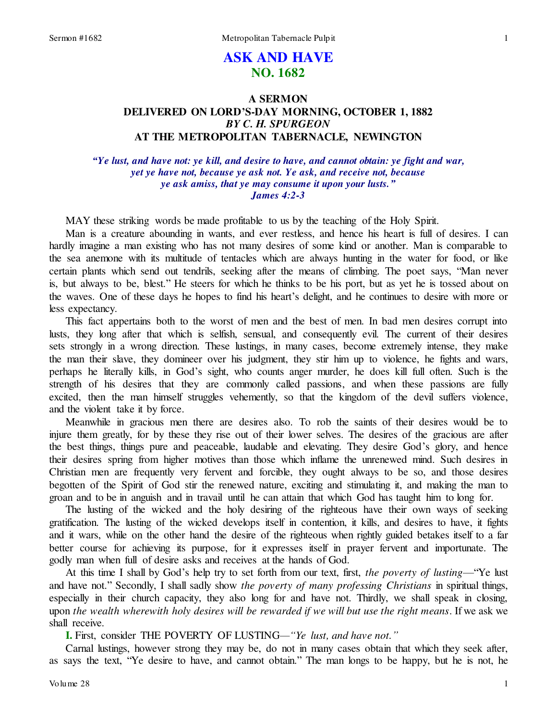# **ASK AND HAVE NO. 1682**

## **A SERMON DELIVERED ON LORD'S-DAY MORNING, OCTOBER 1, 1882**  *BY C. H. SPURGEON*  **AT THE METROPOLITAN TABERNACLE, NEWINGTON**

### *"Ye lust, and have not: ye kill, and desire to have, and cannot obtain: ye fight and war, yet ye have not, because ye ask not. Ye ask, and receive not, because ye ask amiss, that ye may consume it upon your lusts." James 4:2-3*

MAY these striking words be made profitable to us by the teaching of the Holy Spirit.

 Man is a creature abounding in wants, and ever restless, and hence his heart is full of desires. I can hardly imagine a man existing who has not many desires of some kind or another. Man is comparable to the sea anemone with its multitude of tentacles which are always hunting in the water for food, or like certain plants which send out tendrils, seeking after the means of climbing. The poet says, "Man never is, but always to be, blest." He steers for which he thinks to be his port, but as yet he is tossed about on the waves. One of these days he hopes to find his heart's delight, and he continues to desire with more or less expectancy.

 This fact appertains both to the worst of men and the best of men. In bad men desires corrupt into lusts, they long after that which is selfish, sensual, and consequently evil. The current of their desires sets strongly in a wrong direction. These lustings, in many cases, become extremely intense, they make the man their slave, they domineer over his judgment, they stir him up to violence, he fights and wars, perhaps he literally kills, in God's sight, who counts anger murder, he does kill full often. Such is the strength of his desires that they are commonly called passions, and when these passions are fully excited, then the man himself struggles vehemently, so that the kingdom of the devil suffers violence, and the violent take it by force.

 Meanwhile in gracious men there are desires also. To rob the saints of their desires would be to injure them greatly, for by these they rise out of their lower selves. The desires of the gracious are after the best things, things pure and peaceable, laudable and elevating. They desire God's glory, and hence their desires spring from higher motives than those which inflame the unrenewed mind. Such desires in Christian men are frequently very fervent and forcible, they ought always to be so, and those desires begotten of the Spirit of God stir the renewed nature, exciting and stimulating it, and making the man to groan and to be in anguish and in travail until he can attain that which God has taught him to long for.

 The lusting of the wicked and the holy desiring of the righteous have their own ways of seeking gratification. The lusting of the wicked develops itself in contention, it kills, and desires to have, it fights and it wars, while on the other hand the desire of the righteous when rightly guided betakes itself to a far better course for achieving its purpose, for it expresses itself in prayer fervent and importunate. The godly man when full of desire asks and receives at the hands of God.

 At this time I shall by God's help try to set forth from our text, first, *the poverty of lusting*—"Ye lust and have not." Secondly, I shall sadly show *the poverty of many professing Christians* in spiritual things, especially in their church capacity, they also long for and have not. Thirdly, we shall speak in closing, upon *the wealth wherewith holy desires will be rewarded if we will but use the right means*. If we ask we shall receive.

**I.** First, consider THE POVERTY OF LUSTING*—"Ye lust, and have not."*

 Carnal lustings, however strong they may be, do not in many cases obtain that which they seek after, as says the text, "Ye desire to have, and cannot obtain." The man longs to be happy, but he is not, he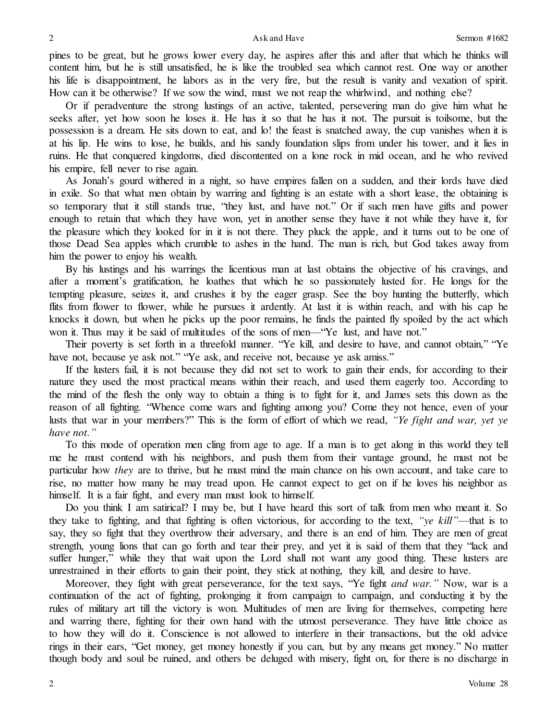pines to be great, but he grows lower every day, he aspires after this and after that which he thinks will content him, but he is still unsatisfied, he is like the troubled sea which cannot rest. One way or another his life is disappointment, he labors as in the very fire, but the result is vanity and vexation of spirit. How can it be otherwise? If we sow the wind, must we not reap the whirlwind, and nothing else?

Or if peradventure the strong lustings of an active, talented, persevering man do give him what he seeks after, yet how soon he loses it. He has it so that he has it not. The pursuit is toilsome, but the possession is a dream. He sits down to eat, and lo! the feast is snatched away, the cup vanishes when it is at his lip. He wins to lose, he builds, and his sandy foundation slips from under his tower, and it lies in ruins. He that conquered kingdoms, died discontented on a lone rock in mid ocean, and he who revived his empire, fell never to rise again.

 As Jonah's gourd withered in a night, so have empires fallen on a sudden, and their lords have died in exile. So that what men obtain by warring and fighting is an estate with a short lease, the obtaining is so temporary that it still stands true, "they lust, and have not." Or if such men have gifts and power enough to retain that which they have won, yet in another sense they have it not while they have it, for the pleasure which they looked for in it is not there. They pluck the apple, and it turns out to be one of those Dead Sea apples which crumble to ashes in the hand. The man is rich, but God takes away from him the power to enjoy his wealth.

 By his lustings and his warrings the licentious man at last obtains the objective of his cravings, and after a moment's gratification, he loathes that which he so passionately lusted for. He longs for the tempting pleasure, seizes it, and crushes it by the eager grasp. See the boy hunting the butterfly, which flits from flower to flower, while he pursues it ardently. At last it is within reach, and with his cap he knocks it down, but when he picks up the poor remains, he finds the painted fly spoiled by the act which won it. Thus may it be said of multitudes of the sons of men—"Ye lust, and have not."

 Their poverty is set forth in a threefold manner. "Ye kill, and desire to have, and cannot obtain," "Ye have not, because ye ask not." "Ye ask, and receive not, because ye ask amiss."

 If the lusters fail, it is not because they did not set to work to gain their ends, for according to their nature they used the most practical means within their reach, and used them eagerly too. According to the mind of the flesh the only way to obtain a thing is to fight for it, and James sets this down as the reason of all fighting. "Whence come wars and fighting among you? Come they not hence, even of your lusts that war in your members?" This is the form of effort of which we read, *"Ye fight and war, yet ye have not."*

 To this mode of operation men cling from age to age. If a man is to get along in this world they tell me he must contend with his neighbors, and push them from their vantage ground, he must not be particular how *they* are to thrive, but he must mind the main chance on his own account, and take care to rise, no matter how many he may tread upon. He cannot expect to get on if he loves his neighbor as himself. It is a fair fight, and every man must look to himself.

Do you think I am satirical? I may be, but I have heard this sort of talk from men who meant it. So they take to fighting, and that fighting is often victorious, for according to the text, *"ye kill"*—that is to say, they so fight that they overthrow their adversary, and there is an end of him. They are men of great strength, young lions that can go forth and tear their prey, and yet it is said of them that they "lack and suffer hunger," while they that wait upon the Lord shall not want any good thing. These lusters are unrestrained in their efforts to gain their point, they stick at nothing, they kill, and desire to have.

 Moreover, they fight with great perseverance, for the text says, "Ye fight *and war."* Now, war is a continuation of the act of fighting, prolonging it from campaign to campaign, and conducting it by the rules of military art till the victory is won. Multitudes of men are living for themselves, competing here and warring there, fighting for their own hand with the utmost perseverance. They have little choice as to how they will do it. Conscience is not allowed to interfere in their transactions, but the old advice rings in their ears, "Get money, get money honestly if you can, but by any means get money." No matter though body and soul be ruined, and others be deluged with misery, fight on, for there is no discharge in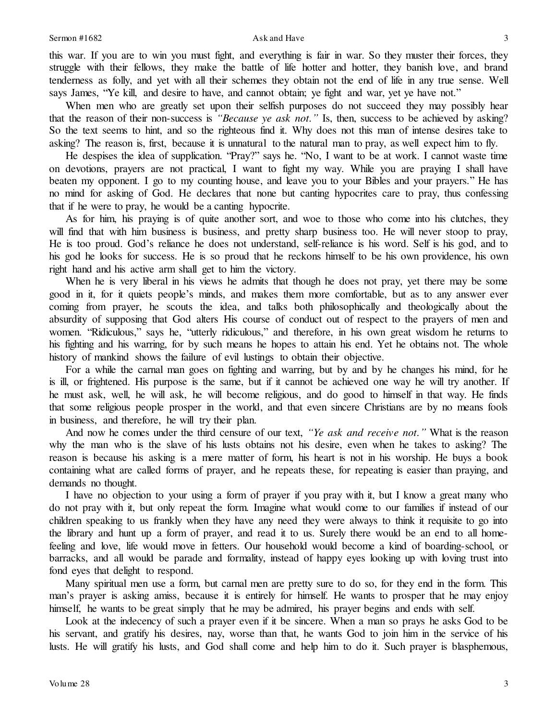this war. If you are to win you must fight, and everything is fair in war. So they muster their forces, they struggle with their fellows, they make the battle of life hotter and hotter, they banish love, and brand tenderness as folly, and yet with all their schemes they obtain not the end of life in any true sense. Well says James, "Ye kill, and desire to have, and cannot obtain; ye fight and war, yet ye have not."

When men who are greatly set upon their selfish purposes do not succeed they may possibly hear that the reason of their non-success is *"Because ye ask not."* Is, then, success to be achieved by asking? So the text seems to hint, and so the righteous find it. Why does not this man of intense desires take to asking? The reason is, first, because it is unnatural to the natural man to pray, as well expect him to fly.

 He despises the idea of supplication. "Pray?" says he. "No, I want to be at work. I cannot waste time on devotions, prayers are not practical, I want to fight my way. While you are praying I shall have beaten my opponent. I go to my counting house, and leave you to your Bibles and your prayers." He has no mind for asking of God. He declares that none but canting hypocrites care to pray, thus confessing that if he were to pray, he would be a canting hypocrite.

 As for him, his praying is of quite another sort, and woe to those who come into his clutches, they will find that with him business is business, and pretty sharp business too. He will never stoop to pray, He is too proud. God's reliance he does not understand, self-reliance is his word. Self is his god, and to his god he looks for success. He is so proud that he reckons himself to be his own providence, his own right hand and his active arm shall get to him the victory.

 When he is very liberal in his views he admits that though he does not pray, yet there may be some good in it, for it quiets people's minds, and makes them more comfortable, but as to any answer ever coming from prayer, he scouts the idea, and talks both philosophically and theologically about the absurdity of supposing that God alters His course of conduct out of respect to the prayers of men and women. "Ridiculous," says he, "utterly ridiculous," and therefore, in his own great wisdom he returns to his fighting and his warring, for by such means he hopes to attain his end. Yet he obtains not. The whole history of mankind shows the failure of evil lustings to obtain their objective.

 For a while the carnal man goes on fighting and warring, but by and by he changes his mind, for he is ill, or frightened. His purpose is the same, but if it cannot be achieved one way he will try another. If he must ask, well, he will ask, he will become religious, and do good to himself in that way. He finds that some religious people prosper in the world, and that even sincere Christians are by no means fools in business, and therefore, he will try their plan.

 And now he comes under the third censure of our text, *"Ye ask and receive not."* What is the reason why the man who is the slave of his lusts obtains not his desire, even when he takes to asking? The reason is because his asking is a mere matter of form, his heart is not in his worship. He buys a book containing what are called forms of prayer, and he repeats these, for repeating is easier than praying, and demands no thought.

 I have no objection to your using a form of prayer if you pray with it, but I know a great many who do not pray with it, but only repeat the form. Imagine what would come to our families if instead of our children speaking to us frankly when they have any need they were always to think it requisite to go into the library and hunt up a form of prayer, and read it to us. Surely there would be an end to all homefeeling and love, life would move in fetters. Our household would become a kind of boarding-school, or barracks, and all would be parade and formality, instead of happy eyes looking up with loving trust into fond eyes that delight to respond.

 Many spiritual men use a form, but carnal men are pretty sure to do so, for they end in the form. This man's prayer is asking amiss, because it is entirely for himself. He wants to prosper that he may enjoy himself, he wants to be great simply that he may be admired, his prayer begins and ends with self.

Look at the indecency of such a prayer even if it be sincere. When a man so prays he asks God to be his servant, and gratify his desires, nay, worse than that, he wants God to join him in the service of his lusts. He will gratify his lusts, and God shall come and help him to do it. Such prayer is blasphemous,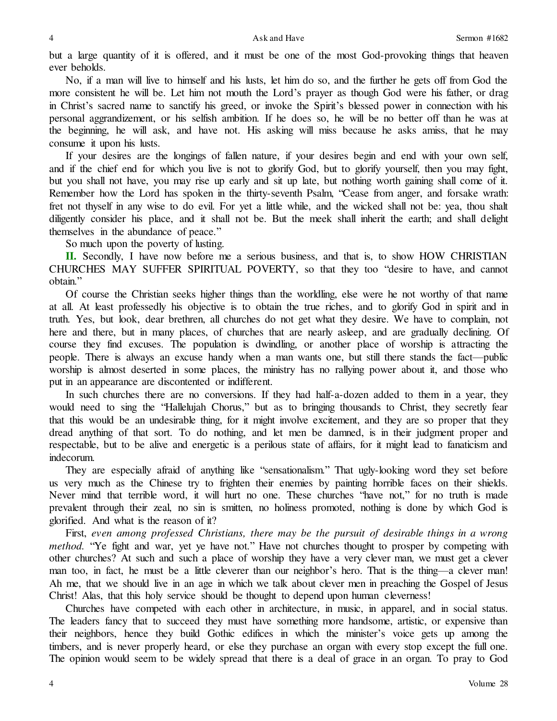but a large quantity of it is offered, and it must be one of the most God-provoking things that heaven ever beholds.

 No, if a man will live to himself and his lusts, let him do so, and the further he gets off from God the more consistent he will be. Let him not mouth the Lord's prayer as though God were his father, or drag in Christ's sacred name to sanctify his greed, or invoke the Spirit's blessed power in connection with his personal aggrandizement, or his selfish ambition. If he does so, he will be no better off than he was at the beginning, he will ask, and have not. His asking will miss because he asks amiss, that he may consume it upon his lusts.

 If your desires are the longings of fallen nature, if your desires begin and end with your own self, and if the chief end for which you live is not to glorify God, but to glorify yourself, then you may fight, but you shall not have, you may rise up early and sit up late, but nothing worth gaining shall come of it. Remember how the Lord has spoken in the thirty-seventh Psalm, "Cease from anger, and forsake wrath: fret not thyself in any wise to do evil. For yet a little while, and the wicked shall not be: yea, thou shalt diligently consider his place, and it shall not be. But the meek shall inherit the earth; and shall delight themselves in the abundance of peace."

So much upon the poverty of lusting.

**II.** Secondly, I have now before me a serious business, and that is, to show HOW CHRISTIAN CHURCHES MAY SUFFER SPIRITUAL POVERTY, so that they too "desire to have, and cannot obtain."

 Of course the Christian seeks higher things than the worldling, else were he not worthy of that name at all. At least professedly his objective is to obtain the true riches, and to glorify God in spirit and in truth. Yes, but look, dear brethren, all churches do not get what they desire. We have to complain, not here and there, but in many places, of churches that are nearly asleep, and are gradually declining. Of course they find excuses. The population is dwindling, or another place of worship is attracting the people. There is always an excuse handy when a man wants one, but still there stands the fact—public worship is almost deserted in some places, the ministry has no rallying power about it, and those who put in an appearance are discontented or indifferent.

 In such churches there are no conversions. If they had half-a-dozen added to them in a year, they would need to sing the "Hallelujah Chorus," but as to bringing thousands to Christ, they secretly fear that this would be an undesirable thing, for it might involve excitement, and they are so proper that they dread anything of that sort. To do nothing, and let men be damned, is in their judgment proper and respectable, but to be alive and energetic is a perilous state of affairs, for it might lead to fanaticism and indecorum.

 They are especially afraid of anything like "sensationalism." That ugly-looking word they set before us very much as the Chinese try to frighten their enemies by painting horrible faces on their shields. Never mind that terrible word, it will hurt no one. These churches "have not," for no truth is made prevalent through their zeal, no sin is smitten, no holiness promoted, nothing is done by which God is glorified. And what is the reason of it?

 First, *even among professed Christians, there may be the pursuit of desirable things in a wrong method.* "Ye fight and war, yet ye have not." Have not churches thought to prosper by competing with other churches? At such and such a place of worship they have a very clever man, we must get a clever man too, in fact, he must be a little cleverer than our neighbor's hero. That is the thing—a clever man! Ah me, that we should live in an age in which we talk about clever men in preaching the Gospel of Jesus Christ! Alas, that this holy service should be thought to depend upon human cleverness!

 Churches have competed with each other in architecture, in music, in apparel, and in social status. The leaders fancy that to succeed they must have something more handsome, artistic, or expensive than their neighbors, hence they build Gothic edifices in which the minister's voice gets up among the timbers, and is never properly heard, or else they purchase an organ with every stop except the full one. The opinion would seem to be widely spread that there is a deal of grace in an organ. To pray to God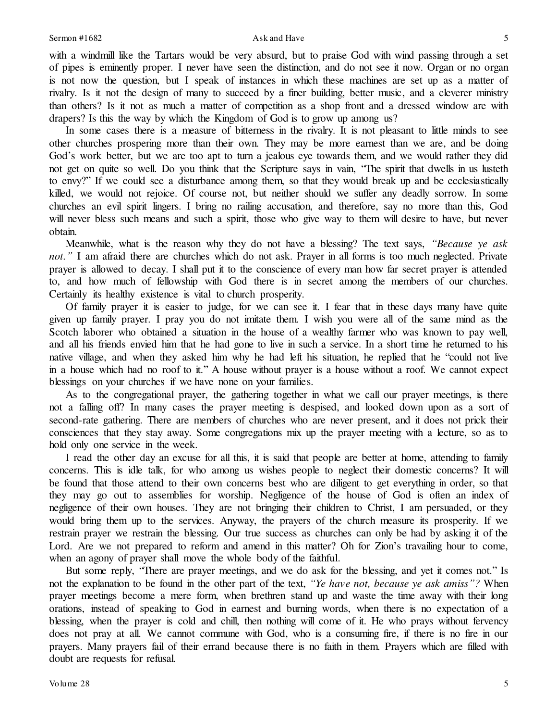with a windmill like the Tartars would be very absurd, but to praise God with wind passing through a set of pipes is eminently proper. I never have seen the distinction, and do not see it now. Organ or no organ is not now the question, but I speak of instances in which these machines are set up as a matter of rivalry. Is it not the design of many to succeed by a finer building, better music, and a cleverer ministry than others? Is it not as much a matter of competition as a shop front and a dressed window are with drapers? Is this the way by which the Kingdom of God is to grow up among us?

 In some cases there is a measure of bitterness in the rivalry. It is not pleasant to little minds to see other churches prospering more than their own. They may be more earnest than we are, and be doing God's work better, but we are too apt to turn a jealous eye towards them, and we would rather they did not get on quite so well. Do you think that the Scripture says in vain, "The spirit that dwells in us lusteth to envy?" If we could see a disturbance among them, so that they would break up and be ecclesiastically killed, we would not rejoice. Of course not, but neither should we suffer any deadly sorrow. In some churches an evil spirit lingers. I bring no railing accusation, and therefore, say no more than this, God will never bless such means and such a spirit, those who give way to them will desire to have, but never obtain.

 Meanwhile, what is the reason why they do not have a blessing? The text says, *"Because ye ask not.*<sup>"</sup> I am afraid there are churches which do not ask. Prayer in all forms is too much neglected. Private prayer is allowed to decay. I shall put it to the conscience of every man how far secret prayer is attended to, and how much of fellowship with God there is in secret among the members of our churches. Certainly its healthy existence is vital to church prosperity.

 Of family prayer it is easier to judge, for we can see it. I fear that in these days many have quite given up family prayer. I pray you do not imitate them. I wish you were all of the same mind as the Scotch laborer who obtained a situation in the house of a wealthy farmer who was known to pay well, and all his friends envied him that he had gone to live in such a service. In a short time he returned to his native village, and when they asked him why he had left his situation, he replied that he "could not live in a house which had no roof to it." A house without prayer is a house without a roof. We cannot expect blessings on your churches if we have none on your families.

 As to the congregational prayer, the gathering together in what we call our prayer meetings, is there not a falling off? In many cases the prayer meeting is despised, and looked down upon as a sort of second-rate gathering. There are members of churches who are never present, and it does not prick their consciences that they stay away. Some congregations mix up the prayer meeting with a lecture, so as to hold only one service in the week.

 I read the other day an excuse for all this, it is said that people are better at home, attending to family concerns. This is idle talk, for who among us wishes people to neglect their domestic concerns? It will be found that those attend to their own concerns best who are diligent to get everything in order, so that they may go out to assemblies for worship. Negligence of the house of God is often an index of negligence of their own houses. They are not bringing their children to Christ, I am persuaded, or they would bring them up to the services. Anyway, the prayers of the church measure its prosperity. If we restrain prayer we restrain the blessing. Our true success as churches can only be had by asking it of the Lord. Are we not prepared to reform and amend in this matter? Oh for Zion's travailing hour to come, when an agony of prayer shall move the whole body of the faithful.

 But some reply, "There are prayer meetings, and we do ask for the blessing, and yet it comes not." Is not the explanation to be found in the other part of the text, *"Ye have not, because ye ask amiss"?* When prayer meetings become a mere form, when brethren stand up and waste the time away with their long orations, instead of speaking to God in earnest and burning words, when there is no expectation of a blessing, when the prayer is cold and chill, then nothing will come of it. He who prays without fervency does not pray at all. We cannot commune with God, who is a consuming fire, if there is no fire in our prayers. Many prayers fail of their errand because there is no faith in them. Prayers which are filled with doubt are requests for refusal.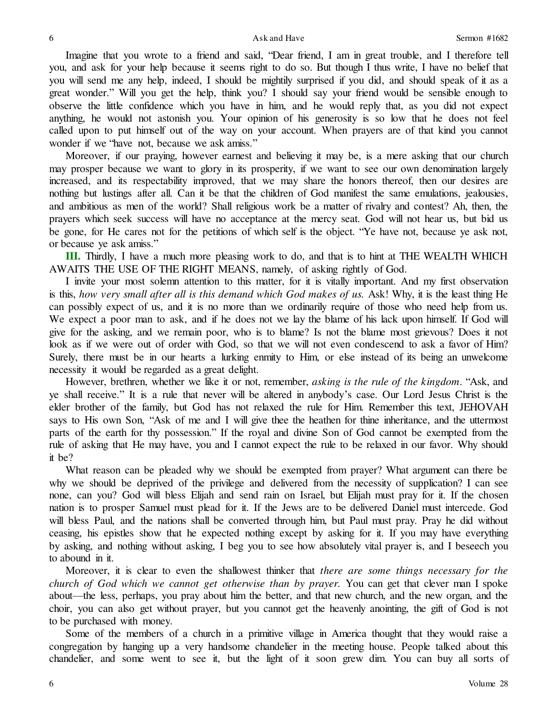Imagine that you wrote to a friend and said, "Dear friend, I am in great trouble, and I therefore tell you, and ask for your help because it seems right to do so. But though I thus write, I have no belief that you will send me any help, indeed, I should be mightily surprised if you did, and should speak of it as a great wonder." Will you get the help, think you? I should say your friend would be sensible enough to observe the little confidence which you have in him, and he would reply that, as you did not expect anything, he would not astonish you. Your opinion of his generosity is so low that he does not feel called upon to put himself out of the way on your account. When prayers are of that kind you cannot wonder if we "have not, because we ask amiss."

 Moreover, if our praying, however earnest and believing it may be, is a mere asking that our church may prosper because we want to glory in its prosperity, if we want to see our own denomination largely increased, and its respectability improved, that we may share the honors thereof, then our desires are nothing but lustings after all. Can it be that the children of God manifest the same emulations, jealousies, and ambitious as men of the world? Shall religious work be a matter of rivalry and contest? Ah, then, the prayers which seek success will have no acceptance at the mercy seat. God will not hear us, but bid us be gone, for He cares not for the petitions of which self is the object. "Ye have not, because ye ask not, or because ye ask amiss."

**III.** Thirdly, I have a much more pleasing work to do, and that is to hint at THE WEALTH WHICH AWAITS THE USE OF THE RIGHT MEANS, namely, of asking rightly of God.

 I invite your most solemn attention to this matter, for it is vitally important. And my first observation is this, *how very small after all is this demand which God makes of us.* Ask! Why, it is the least thing He can possibly expect of us, and it is no more than we ordinarily require of those who need help from us. We expect a poor man to ask, and if he does not we lay the blame of his lack upon himself. If God will give for the asking, and we remain poor, who is to blame? Is not the blame most grievous? Does it not look as if we were out of order with God, so that we will not even condescend to ask a favor of Him? Surely, there must be in our hearts a lurking enmity to Him, or else instead of its being an unwelcome necessity it would be regarded as a great delight.

 However, brethren, whether we like it or not, remember, *asking is the rule of the kingdom*. "Ask, and ye shall receive." It is a rule that never will be altered in anybody's case. Our Lord Jesus Christ is the elder brother of the family, but God has not relaxed the rule for Him. Remember this text, JEHOVAH says to His own Son, "Ask of me and I will give thee the heathen for thine inheritance, and the uttermost parts of the earth for thy possession." If the royal and divine Son of God cannot be exempted from the rule of asking that He may have, you and I cannot expect the rule to be relaxed in our favor. Why should it be?

 What reason can be pleaded why we should be exempted from prayer? What argument can there be why we should be deprived of the privilege and delivered from the necessity of supplication? I can see none, can you? God will bless Elijah and send rain on Israel, but Elijah must pray for it. If the chosen nation is to prosper Samuel must plead for it. If the Jews are to be delivered Daniel must intercede. God will bless Paul, and the nations shall be converted through him, but Paul must pray. Pray he did without ceasing, his epistles show that he expected nothing except by asking for it. If you may have everything by asking, and nothing without asking, I beg you to see how absolutely vital prayer is, and I beseech you to abound in it.

 Moreover, it is clear to even the shallowest thinker that *there are some things necessary for the church of God which we cannot get otherwise than by prayer.* You can get that clever man I spoke about—the less, perhaps, you pray about him the better, and that new church, and the new organ, and the choir, you can also get without prayer, but you cannot get the heavenly anointing, the gift of God is not to be purchased with money.

 Some of the members of a church in a primitive village in America thought that they would raise a congregation by hanging up a very handsome chandelier in the meeting house. People talked about this chandelier, and some went to see it, but the light of it soon grew dim. You can buy all sorts of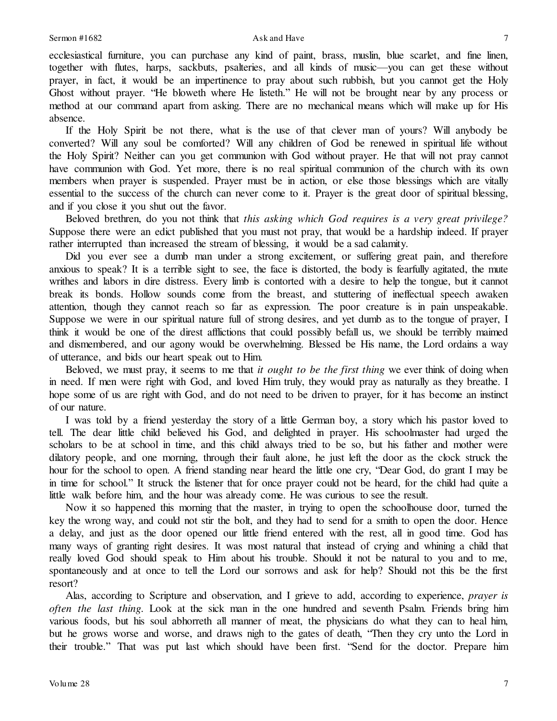ecclesiastical furniture, you can purchase any kind of paint, brass, muslin, blue scarlet, and fine linen, together with flutes, harps, sackbuts, psalteries, and all kinds of music—you can get these without prayer, in fact, it would be an impertinence to pray about such rubbish, but you cannot get the Holy Ghost without prayer. "He bloweth where He listeth." He will not be brought near by any process or method at our command apart from asking. There are no mechanical means which will make up for His absence.

 If the Holy Spirit be not there, what is the use of that clever man of yours? Will anybody be converted? Will any soul be comforted? Will any children of God be renewed in spiritual life without the Holy Spirit? Neither can you get communion with God without prayer. He that will not pray cannot have communion with God. Yet more, there is no real spiritual communion of the church with its own members when prayer is suspended. Prayer must be in action, or else those blessings which are vitally essential to the success of the church can never come to it. Prayer is the great door of spiritual blessing, and if you close it you shut out the favor.

 Beloved brethren, do you not think that *this asking which God requires is a very great privilege?* Suppose there were an edict published that you must not pray, that would be a hardship indeed. If prayer rather interrupted than increased the stream of blessing, it would be a sad calamity.

 Did you ever see a dumb man under a strong excitement, or suffering great pain, and therefore anxious to speak? It is a terrible sight to see, the face is distorted, the body is fearfully agitated, the mute writhes and labors in dire distress. Every limb is contorted with a desire to help the tongue, but it cannot break its bonds. Hollow sounds come from the breast, and stuttering of ineffectual speech awaken attention, though they cannot reach so far as expression. The poor creature is in pain unspeakable. Suppose we were in our spiritual nature full of strong desires, and yet dumb as to the tongue of prayer, I think it would be one of the direst afflictions that could possibly befall us, we should be terribly maimed and dismembered, and our agony would be overwhelming. Blessed be His name, the Lord ordains a way of utterance, and bids our heart speak out to Him.

 Beloved, we must pray, it seems to me that *it ought to be the first thing* we ever think of doing when in need. If men were right with God, and loved Him truly, they would pray as naturally as they breathe. I hope some of us are right with God, and do not need to be driven to prayer, for it has become an instinct of our nature.

 I was told by a friend yesterday the story of a little German boy, a story which his pastor loved to tell. The dear little child believed his God, and delighted in prayer. His schoolmaster had urged the scholars to be at school in time, and this child always tried to be so, but his father and mother were dilatory people, and one morning, through their fault alone, he just left the door as the clock struck the hour for the school to open. A friend standing near heard the little one cry, "Dear God, do grant I may be in time for school." It struck the listener that for once prayer could not be heard, for the child had quite a little walk before him, and the hour was already come. He was curious to see the result.

 Now it so happened this morning that the master, in trying to open the schoolhouse door, turned the key the wrong way, and could not stir the bolt, and they had to send for a smith to open the door. Hence a delay, and just as the door opened our little friend entered with the rest, all in good time. God has many ways of granting right desires. It was most natural that instead of crying and whining a child that really loved God should speak to Him about his trouble. Should it not be natural to you and to me, spontaneously and at once to tell the Lord our sorrows and ask for help? Should not this be the first resort?

 Alas, according to Scripture and observation, and I grieve to add, according to experience, *prayer is often the last thing.* Look at the sick man in the one hundred and seventh Psalm. Friends bring him various foods, but his soul abhorreth all manner of meat, the physicians do what they can to heal him, but he grows worse and worse, and draws nigh to the gates of death, "Then they cry unto the Lord in their trouble." That was put last which should have been first. "Send for the doctor. Prepare him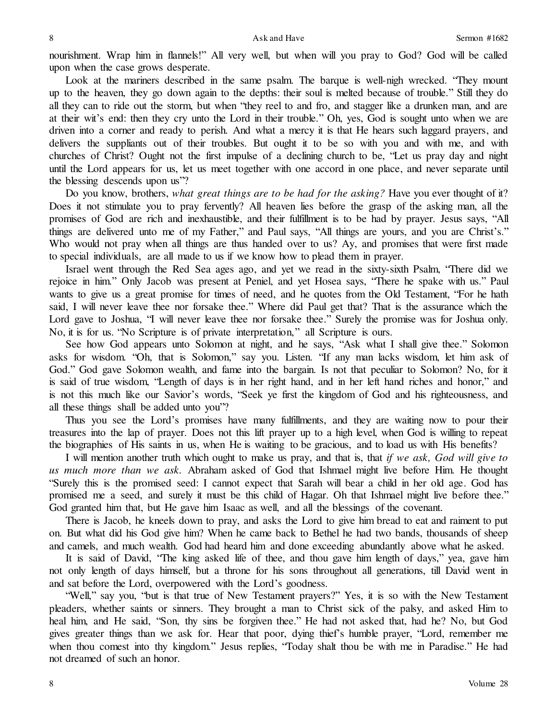nourishment. Wrap him in flannels!" All very well, but when will you pray to God? God will be called upon when the case grows desperate.

 Look at the mariners described in the same psalm. The barque is well-nigh wrecked. "They mount up to the heaven, they go down again to the depths: their soul is melted because of trouble." Still they do all they can to ride out the storm, but when "they reel to and fro, and stagger like a drunken man, and are at their wit's end: then they cry unto the Lord in their trouble." Oh, yes, God is sought unto when we are driven into a corner and ready to perish. And what a mercy it is that He hears such laggard prayers, and delivers the suppliants out of their troubles. But ought it to be so with you and with me, and with churches of Christ? Ought not the first impulse of a declining church to be, "Let us pray day and night until the Lord appears for us, let us meet together with one accord in one place, and never separate until the blessing descends upon us"?

 Do you know, brothers, *what great things are to be had for the asking?* Have you ever thought of it? Does it not stimulate you to pray fervently? All heaven lies before the grasp of the asking man, all the promises of God are rich and inexhaustible, and their fulfillment is to be had by prayer. Jesus says, "All things are delivered unto me of my Father," and Paul says, "All things are yours, and you are Christ's." Who would not pray when all things are thus handed over to us? Ay, and promises that were first made to special individuals, are all made to us if we know how to plead them in prayer.

 Israel went through the Red Sea ages ago, and yet we read in the sixty-sixth Psalm, "There did we rejoice in him." Only Jacob was present at Peniel, and yet Hosea says, "There he spake with us." Paul wants to give us a great promise for times of need, and he quotes from the Old Testament, "For he hath said, I will never leave thee nor forsake thee." Where did Paul get that? That is the assurance which the Lord gave to Joshua, "I will never leave thee nor forsake thee." Surely the promise was for Joshua only. No, it is for us. "No Scripture is of private interpretation," all Scripture is ours.

 See how God appears unto Solomon at night, and he says, "Ask what I shall give thee." Solomon asks for wisdom. "Oh, that is Solomon," say you. Listen. "If any man lacks wisdom, let him ask of God." God gave Solomon wealth, and fame into the bargain. Is not that peculiar to Solomon? No, for it is said of true wisdom, "Length of days is in her right hand, and in her left hand riches and honor," and is not this much like our Savior's words, "Seek ye first the kingdom of God and his righteousness, and all these things shall be added unto you"?

 Thus you see the Lord's promises have many fulfillments, and they are waiting now to pour their treasures into the lap of prayer. Does not this lift prayer up to a high level, when God is willing to repeat the biographies of His saints in us, when He is waiting to be gracious, and to load us with His benefits?

 I will mention another truth which ought to make us pray, and that is, that *if we ask, God will give to us much more than we ask.* Abraham asked of God that Ishmael might live before Him. He thought "Surely this is the promised seed: I cannot expect that Sarah will bear a child in her old age. God has promised me a seed, and surely it must be this child of Hagar. Oh that Ishmael might live before thee." God granted him that, but He gave him Isaac as well, and all the blessings of the covenant.

 There is Jacob, he kneels down to pray, and asks the Lord to give him bread to eat and raiment to put on. But what did his God give him? When he came back to Bethel he had two bands, thousands of sheep and camels, and much wealth. God had heard him and done exceeding abundantly above what he asked.

It is said of David, "The king asked life of thee, and thou gave him length of days," yea, gave him not only length of days himself, but a throne for his sons throughout all generations, till David went in and sat before the Lord, overpowered with the Lord's goodness.

"Well," say you, "but is that true of New Testament prayers?" Yes, it is so with the New Testament pleaders, whether saints or sinners. They brought a man to Christ sick of the palsy, and asked Him to heal him, and He said, "Son, thy sins be forgiven thee." He had not asked that, had he? No, but God gives greater things than we ask for. Hear that poor, dying thief's humble prayer, "Lord, remember me when thou comest into thy kingdom." Jesus replies, "Today shalt thou be with me in Paradise." He had not dreamed of such an honor.